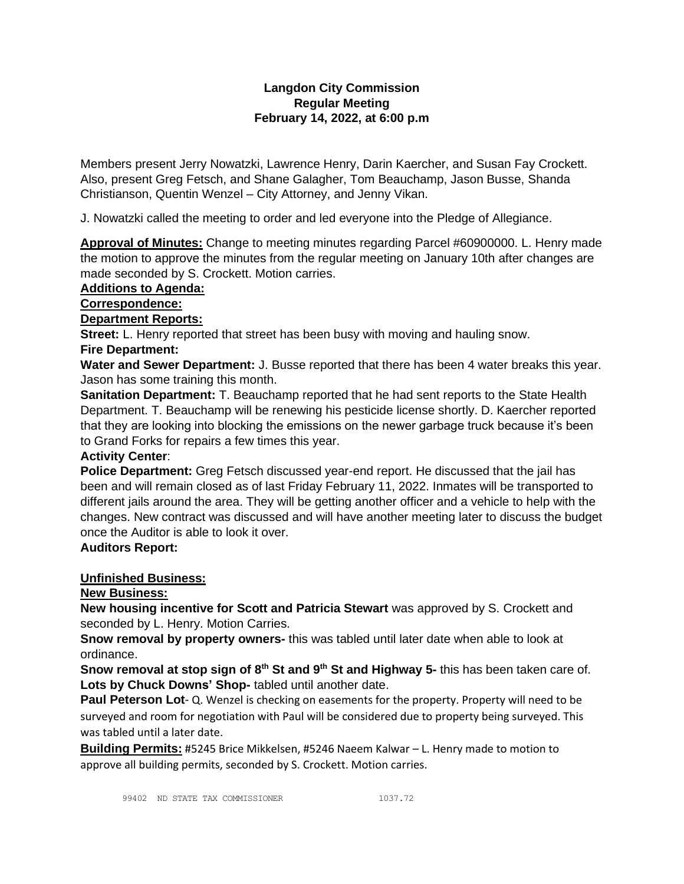# **Langdon City Commission Regular Meeting February 14, 2022, at 6:00 p.m**

Members present Jerry Nowatzki, Lawrence Henry, Darin Kaercher, and Susan Fay Crockett. Also, present Greg Fetsch, and Shane Galagher, Tom Beauchamp, Jason Busse, Shanda Christianson, Quentin Wenzel – City Attorney, and Jenny Vikan.

J. Nowatzki called the meeting to order and led everyone into the Pledge of Allegiance.

**Approval of Minutes:** Change to meeting minutes regarding Parcel #60900000. L. Henry made the motion to approve the minutes from the regular meeting on January 10th after changes are made seconded by S. Crockett. Motion carries.

## **Additions to Agenda:**

### **Correspondence:**

## **Department Reports:**

**Street:** L. Henry reported that street has been busy with moving and hauling snow. **Fire Department:**

**Water and Sewer Department:** J. Busse reported that there has been 4 water breaks this year. Jason has some training this month.

**Sanitation Department:** T. Beauchamp reported that he had sent reports to the State Health Department. T. Beauchamp will be renewing his pesticide license shortly. D. Kaercher reported that they are looking into blocking the emissions on the newer garbage truck because it's been to Grand Forks for repairs a few times this year.

## **Activity Center**:

**Police Department:** Greg Fetsch discussed year-end report. He discussed that the jail has been and will remain closed as of last Friday February 11, 2022. Inmates will be transported to different jails around the area. They will be getting another officer and a vehicle to help with the changes. New contract was discussed and will have another meeting later to discuss the budget once the Auditor is able to look it over.

## **Auditors Report:**

## **Unfinished Business:**

## **New Business:**

**New housing incentive for Scott and Patricia Stewart** was approved by S. Crockett and seconded by L. Henry. Motion Carries.

**Snow removal by property owners-** this was tabled until later date when able to look at ordinance.

**Snow removal at stop sign of 8th St and 9th St and Highway 5-** this has been taken care of. **Lots by Chuck Downs' Shop-** tabled until another date.

**Paul Peterson Lot**- Q. Wenzel is checking on easements for the property. Property will need to be surveyed and room for negotiation with Paul will be considered due to property being surveyed. This was tabled until a later date.

**Building Permits:** #5245 Brice Mikkelsen, #5246 Naeem Kalwar – L. Henry made to motion to approve all building permits, seconded by S. Crockett. Motion carries.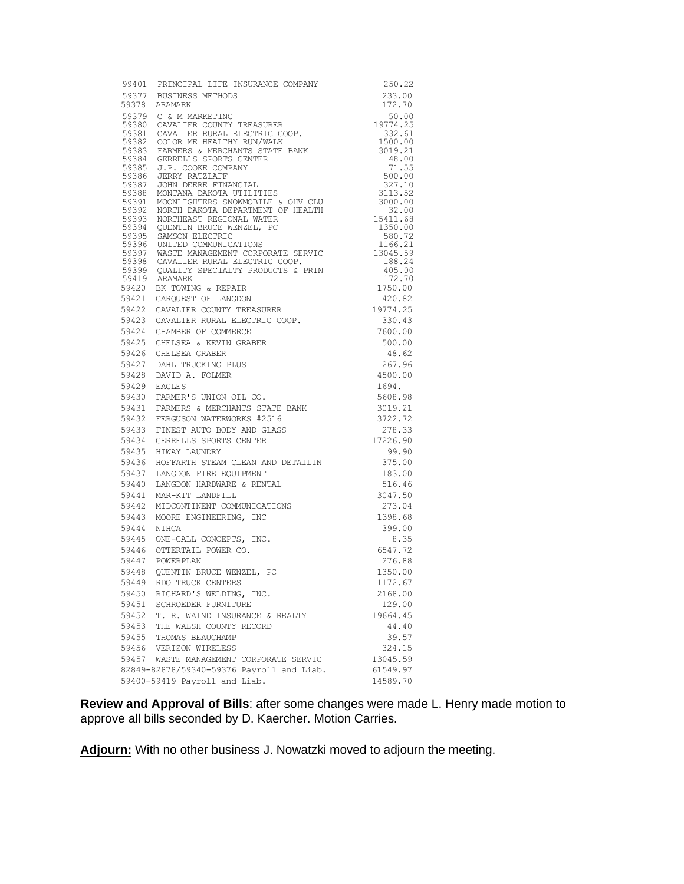|       | 99401 PRINCIPAL LIFE INSURANCE COMPANY<br>59377 BUSINESS METHODS<br>59379 ADMADY                                                                                     | 250.22            |
|-------|----------------------------------------------------------------------------------------------------------------------------------------------------------------------|-------------------|
|       |                                                                                                                                                                      | 233.00            |
|       | 59378 ARAMARK                                                                                                                                                        | 172.70            |
|       | 59379 C & M MARKETING                                                                                                                                                |                   |
|       |                                                                                                                                                                      |                   |
|       |                                                                                                                                                                      |                   |
|       |                                                                                                                                                                      |                   |
|       |                                                                                                                                                                      |                   |
|       |                                                                                                                                                                      |                   |
|       |                                                                                                                                                                      |                   |
|       |                                                                                                                                                                      |                   |
|       |                                                                                                                                                                      |                   |
|       |                                                                                                                                                                      |                   |
|       |                                                                                                                                                                      |                   |
|       |                                                                                                                                                                      |                   |
|       |                                                                                                                                                                      |                   |
|       |                                                                                                                                                                      |                   |
|       |                                                                                                                                                                      |                   |
|       |                                                                                                                                                                      |                   |
|       |                                                                                                                                                                      |                   |
|       |                                                                                                                                                                      |                   |
|       |                                                                                                                                                                      |                   |
|       |                                                                                                                                                                      |                   |
|       |                                                                                                                                                                      |                   |
|       |                                                                                                                                                                      |                   |
|       |                                                                                                                                                                      |                   |
|       |                                                                                                                                                                      |                   |
|       |                                                                                                                                                                      |                   |
|       |                                                                                                                                                                      |                   |
|       |                                                                                                                                                                      |                   |
|       |                                                                                                                                                                      |                   |
|       |                                                                                                                                                                      |                   |
|       |                                                                                                                                                                      |                   |
|       |                                                                                                                                                                      |                   |
|       | 59435 HIWAY LAUNDRY                                                                                                                                                  | 99.90             |
|       | 59436 HOFFARTH STEAM CLEAN AND DETAILIN                                                                                                                              | 375.00            |
|       | 59437 LANGDON FIRE EQUIPMENT<br>59440 LANGDON HARDWARE & RENTAL                                                                                                      | 183.00            |
|       |                                                                                                                                                                      | 516.46            |
|       | 59441 MAR-KIT LANDFILL                                                                                                                                               | 3047.50           |
| 59442 |                                                                                                                                                                      | 273.04<br>1398.68 |
|       | MAR-KIT LANDFILL<br>MIDCONTINENT COMMUNICATIONS<br>MOORE ENGINEERING, INC<br>NIHCA<br>ONE-CALL CONCEPTS, INC.<br>OTTERTAIL POWER CO.<br>59443 MOORE ENGINEERING, INC |                   |
| 59444 |                                                                                                                                                                      | 399.00<br>8.35    |
|       | 59445 ONE-CALL CONCEPTS, INC.                                                                                                                                        | 6547.72           |
|       | 59446 OTTERTAIL POWER CO.<br>59447 POWERPLAN                                                                                                                         | 276.88            |
|       | 59448 QUENTIN BRUCE WENZEL, PC                                                                                                                                       | 1350.00           |
| 59449 | RDO TRUCK CENTERS                                                                                                                                                    | 1172.67           |
| 59450 | RICHARD'S WELDING, INC.                                                                                                                                              | 2168.00           |
| 59451 | SCHROEDER FURNITURE                                                                                                                                                  | 129.00            |
| 59452 | T. R. WAIND INSURANCE & REALTY                                                                                                                                       | 19664.45          |
| 59453 | THE WALSH COUNTY RECORD                                                                                                                                              | 44.40             |
| 59455 | THOMAS BEAUCHAMP                                                                                                                                                     | 39.57             |
|       | 59456 VERIZON WIRELESS                                                                                                                                               | 324.15            |
|       | 59457 WASTE MANAGEMENT CORPORATE SERVIC                                                                                                                              | 13045.59          |
|       | 82849-82878/59340-59376 Payroll and Liab.                                                                                                                            | 61549.97          |
|       | 59400-59419 Payroll and Liab.                                                                                                                                        | 14589.70          |
|       |                                                                                                                                                                      |                   |

**Review and Approval of Bills**: after some changes were made L. Henry made motion to approve all bills seconded by D. Kaercher. Motion Carries.

**Adjourn:** With no other business J. Nowatzki moved to adjourn the meeting.